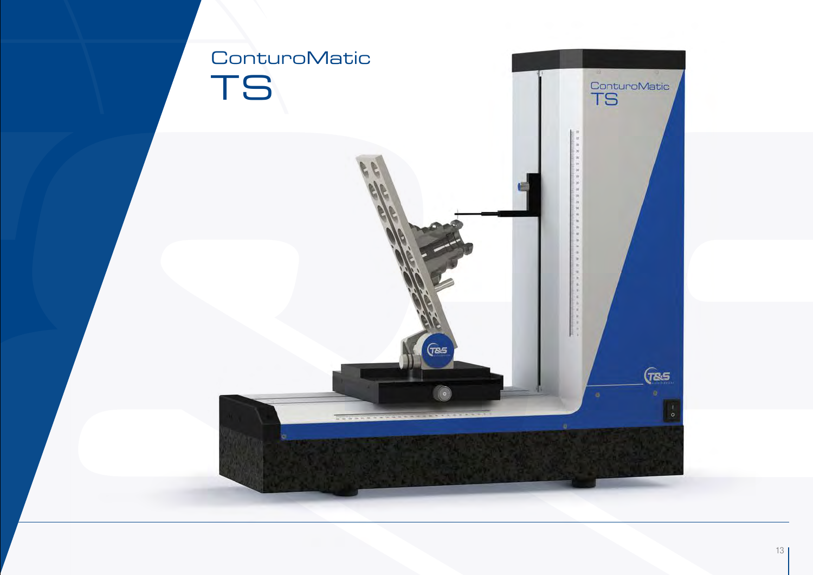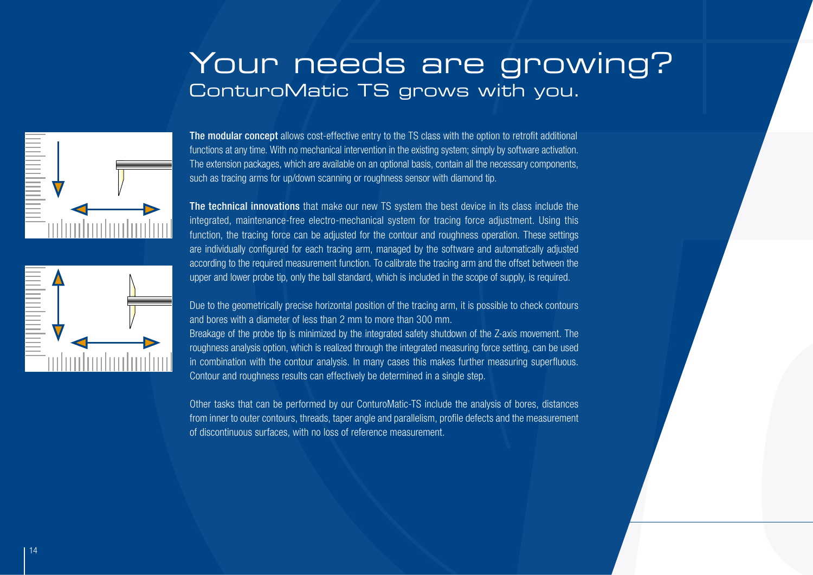# Your needs are growing? ConturoMatic TS grows with you.





The modular concept allows cost-effective entry to the TS class with the option to retrofit additional functions at any time. With no mechanical intervention in the existing system; simply by software activation. The extension packages, which are available on an optional basis, contain all the necessary components, such as tracing arms for up/down scanning or roughness sensor with diamond tip.

The technical innovations that make our new TS system the best device in its class include the integrated, maintenance-free electro-mechanical system for tracing force adjustment. Using this function, the tracing force can be adjusted for the contour and roughness operation. These settings are individually configured for each tracing arm, managed by the software and automatically adjusted according to the required measurement function. To calibrate the tracing arm and the offset between the upper and lower probe tip, only the ball standard, which is included in the scope of supply, is required.

Due to the geometrically precise horizontal position of the tracing arm, it is possible to check contours and bores with a diameter of less than 2 mm to more than 300 mm.

Breakage of the probe tip is minimized by the integrated safety shutdown of the Z-axis movement. The roughness analysis option, which is realized through the integrated measuring force setting, can be used in combination with the contour analysis. In many cases this makes further measuring superfluous. Contour and roughness results can effectively be determined in a single step.

Other tasks that can be performed by our ConturoMatic-TS include the analysis of bores, distances from inner to outer contours, threads, taper angle and parallelism, profile defects and the measurement of discontinuous surfaces, with no loss of reference measurement.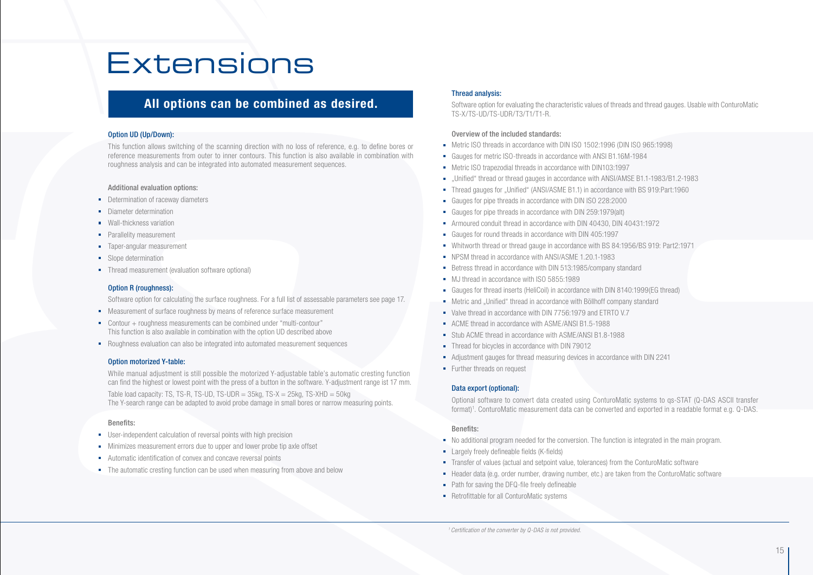# Extensions

### All options can be combined as desired.

#### Option UD (Up/Down):

This function allows switching of the scanning direction with no loss of reference, e.g. to define bores or reference measurements from outer to inner contours. This function is also available in combination with roughness analysis and can be integrated into automated measurement sequences.

#### Additional evaluation options:

- **Determination of raceway diameters**
- Diameter determination
- **Wall-thickness variation**
- **Parallelity measurement**
- **Taper-angular measurement**
- **Slope determination**
- Thread measurement (evaluation software optional)

#### Option R (roughness):

Software option for calculating the surface roughness. For a full list of assessable parameters see page 17.

- Measurement of surface roughness by means of reference surface measurement
- Contour + roughness measurements can be combined under "multi-contour" This function is also available in combination with the option UD described above
- Roughness evaluation can also be integrated into automated measurement sequences

#### Option motorized Y-table:

While manual adjustment is still possible the motorized Y-adjustable table's automatic cresting function can find the highest or lowest point with the press of a button in the software. Y-adjustment range ist 17 mm. Table load capacity: TS, TS-R, TS-UD, TS-UDR =  $35$ kg, TS- $X = 25$ kg, TS- $X$ HD =  $50$ kg The Y-search range can be adapted to avoid probe damage in small bores or narrow measuring points.

#### Benefits:

- $\blacksquare$  User-independent calculation of reversal points with high precision
- Minimizes measurement errors due to upper and lower probe tip axle offset
- Automatic identification of convex and concave reversal points
- The automatic cresting function can be used when measuring from above and below

#### Thread analysis:

Software option for evaluating the characteristic values of threads and thread gauges. Usable with ConturoMatic TS-X/TS-UD/TS-UDR/T3/T1/T1-R.

#### Overview of the included standards:

- Metric ISO threads in accordance with DIN ISO 1502:1996 (DIN ISO 965:1998)
- Gauges for metric ISO-threads in accordance with ANSI B1.16M-1984
- Metric ISO trapezodial threads in accordance with DIN103:1997
- "Unified" thread or thread gauges in accordance with ANSI/AMSE B1.1-1983/B1.2-1983
- Thread gauges for "Unified" (ANSI/ASME B1.1) in accordance with BS 919:Part:1960
- Gauges for pipe threads in accordance with DIN ISO 228:2000
- Gauges for pipe threads in accordance with DIN 259:1979(alt)
- Armoured conduit thread in accordance with DIN 40430, DIN 40431:1972
- Gauges for round threads in accordance with DIN 405:1997
- Whitworth thread or thread gauge in accordance with BS 84:1956/BS 919: Part2:1971
- NPSM thread in accordance with ANSI/ASME 1.20.1-1983
- Betress thread in accordance with DIN 513:1985/company standard
- **MJ** thread in accordance with ISO 5855:1989
- Gauges for thread inserts (HeliCoil) in accordance with DIN 8140:1999(EG thread)
- $\blacksquare$  Metric and Unified" thread in accordance with Böllhoff company standard
- Valve thread in accordance with DIN 7756:1979 and ETRTO V.7
- ACME thread in accordance with ASME/ANSI B1.5-1988
- Stub ACME thread in accordance with ASME/ANSI B1.8-1988
- Thread for bicycles in accordance with DIN 79012
- Adjustment gauges for thread measuring devices in accordance with DIN 2241
- **Further threads on request**

#### Data export (optional):

Optional software to convert data created using ConturoMatic systems to qs-STAT (Q-DAS ASCII transfer format)1 . ConturoMatic measurement data can be converted and exported in a readable format e.g. Q-DAS.

#### Benefits:

- No additional program needed for the conversion. The function is integrated in the main program.
- $\blacksquare$  Largely freely defineable fields (K-fields)
- Transfer of values (actual and setpoint value, tolerances) from the ConturoMatic software
- Header data (e.g. order number, drawing number, etc.) are taken from the ConturoMatic software
- Path for saving the DFQ-file freely defineable
- **Retrofittable for all ConturoMatic systems**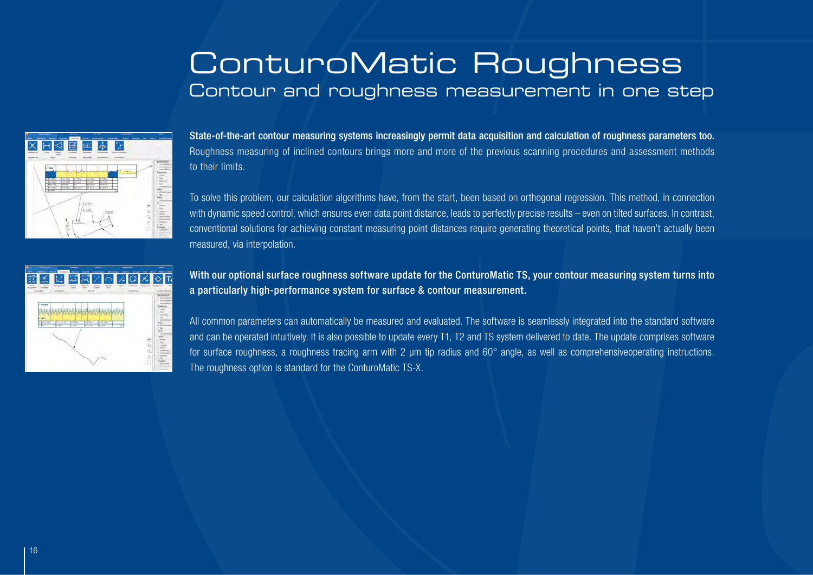## ConturoMatic Roughness Contour and roughness measurement in one step



State-of-the-art contour measuring systems increasingly permit data acquisition and calculation of roughness parameters too. Roughness measuring of inclined contours brings more and more of the previous scanning procedures and assessment methods to their limits.

To solve this problem, our calculation algorithms have, from the start, been based on orthogonal regression. This method, in connection with dynamic speed control, which ensures even data point distance, leads to perfectly precise results – even on tilted surfaces. In contrast, conventional solutions for achieving constant measuring point distances require generating theoretical points, that haven't actually been measured, via interpolation.

| T<br><b>MARK</b><br><b>SALE</b><br>$\frac{1}{2}$<br>Ani:<br>⇔<br>mysin                                                                   | Toward II                 |
|------------------------------------------------------------------------------------------------------------------------------------------|---------------------------|
| nini.                                                                                                                                    | <b><i>USED STATES</i></b> |
| 164 (44)                                                                                                                                 |                           |
|                                                                                                                                          | œ<br>ĐQ.                  |
| $-114$                                                                                                                                   |                           |
| Rithman<br>C By to seller<br><b>Edge</b><br><b>Bratist</b><br><b>Tourism</b><br>t rei<br><b>Piller</b><br>ኈ<br>$\overline{1}$<br>ਜਜ<br>u | - 2                       |
|                                                                                                                                          | idade<br>u<br>um          |
| w                                                                                                                                        |                           |
| 可以以                                                                                                                                      |                           |
| $\frac{11}{2} \alpha$<br>ä,<br>×                                                                                                         |                           |
| ×<br>٠                                                                                                                                   |                           |

With our optional surface roughness software update for the ConturoMatic TS, your contour measuring system turns into a particularly high-performance system for surface & contour measurement.

All common parameters can automatically be measured and evaluated. The software is seamlessly integrated into the standard software and can be operated intuitively. It is also possible to update every T1, T2 and TS system delivered to date. The update comprises software for surface roughness, a roughness tracing arm with 2 μm tip radius and 60° angle, as well as comprehensiveoperating instructions. The roughness option is standard for the ConturoMatic TS-X.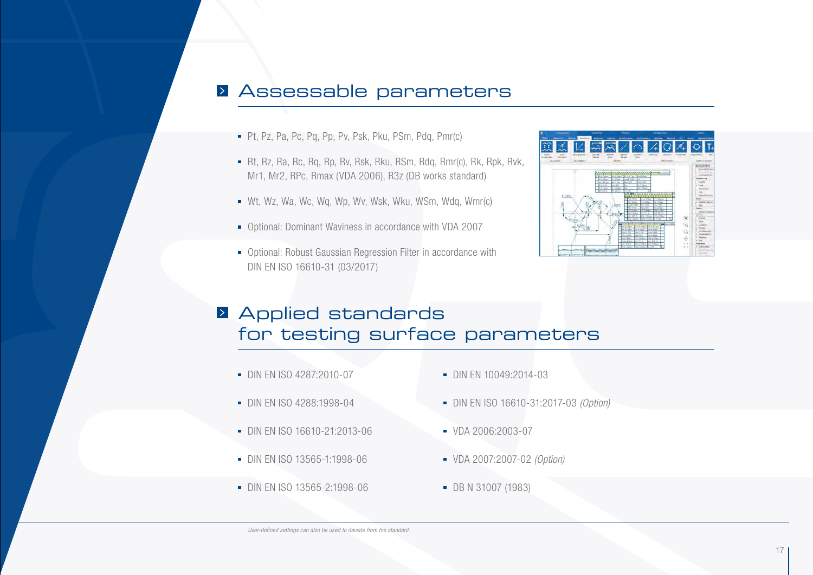### **Assessable parameters**

- Pt, Pz, Pa, Pc, Pq, Pp, Pv, Psk, Pku, PSm, Pdq, Pmr(c)
- Rt, Rz, Ra, Rc, Rg, Rp, Rv, Rsk, Rku, RSm, Rdg, Rmr(c), Rk, Rpk, Rvk, Mr1, Mr2, RPc, Rmax (VDA 2006), R3z (DB works standard)
- Wt, Wz, Wa, Wc, Wq, Wp, Wv, Wsk, Wku, WSm, Wdq, Wmr(c)
- Optional: Dominant Waviness in accordance with VDA 2007
- Optional: Robust Gaussian Regression Filter in accordance with DIN EN ISO 16610-31 (03/2017)



## **Applied standards** for testing surface parameters

- DIN EN ISO 4287:2010-07
- **DIN EN ISO 4288:1998-04**
- DIN EN ISO 16610-21:2013-06
- DIN EN ISO 13565-1:1998-06
- DIN FN ISO 13565-2:1998-06
- DIN EN 10049:2014-03
- DIN EN ISO 16610-31:2017-03 *(Option)*
- VDA 2006:2003-07
- VDA 2007:2007-02 *(Option)*
- **DB N 31007 (1983)**